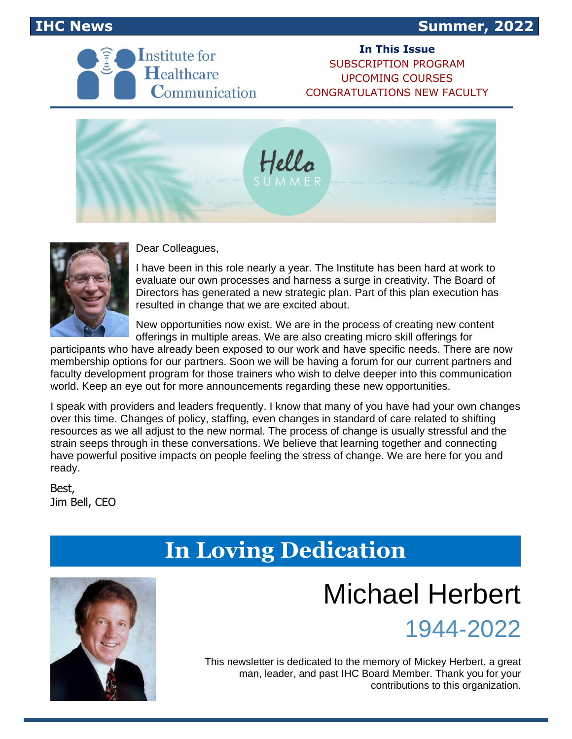



**In This Issue** [SUBSCRIPTION PROGRAM](#page-1-0) [UPCOMING COURSES](#page-2-0) [CONGRATULATIONS NEW FACULTY](#page-3-0)





Dear Colleagues,

I have been in this role nearly a year. The Institute has been hard at work to evaluate our own processes and harness a surge in creativity. The Board of Directors has generated a new strategic plan. Part of this plan execution has resulted in change that we are excited about.

New opportunities now exist. We are in the process of creating new content offerings in multiple areas. We are also creating micro skill offerings for

participants who have already been exposed to our work and have specific needs. There are now membership options for our partners. Soon we will be having a forum for our current partners and faculty development program for those trainers who wish to delve deeper into this communication world. Keep an eye out for more announcements regarding these new opportunities.

I speak with providers and leaders frequently. I know that many of you have had your own changes over this time. Changes of policy, staffing, even changes in standard of care related to shifting resources as we all adjust to the new normal. The process of change is usually stressful and the strain seeps through in these conversations. We believe that learning together and connecting have powerful positive impacts on people feeling the stress of change. We are here for you and ready.

Best, Jim Bell, CEO

### **In Loving Dedication**



## Michael Herbert



This newsletter is dedicated to the memory of Mickey Herbert, a great man, leader, and past IHC Board Member. Thank you for your contributions to this organization.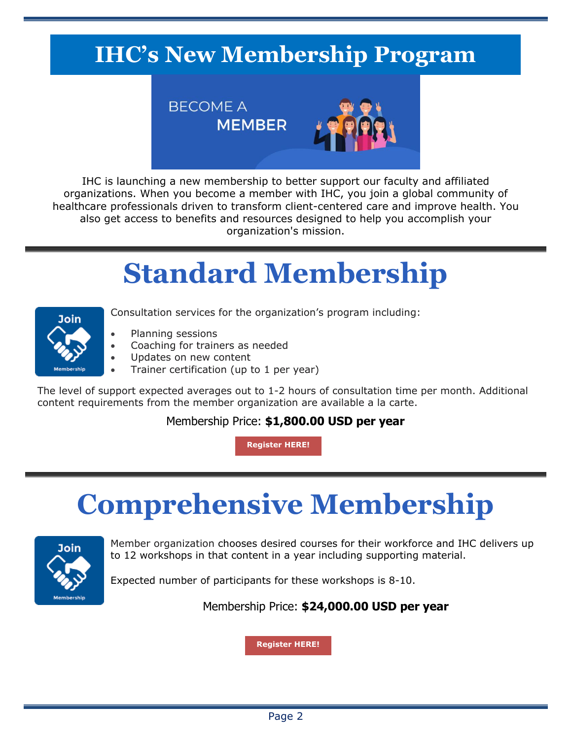## <span id="page-1-0"></span>**IHC's New Membership Program**



IHC is launching a new membership to better support our faculty and affiliated organizations. When you become a member with IHC, you join a global community of healthcare professionals driven to transform client-centered care and improve health. You also get access to benefits and resources designed to help you accomplish your organization's mission.

# **Standard Membership**



- Consultation services for the organization's program including:
	- Planning sessions
- Coaching for trainers as needed
- Updates on new content
- Trainer certification (up to 1 per year)

The level of support expected averages out to 1-2 hours of consultation time per month. Additional content requirements from the member organization are available a la carte.

#### Membership Price: **\$1,800.00 USD per year**

**[Register](https://marymbarrett.wufoo.com/forms/wu5os9u0q7smab/) HERE!**

# **Comprehensive Membership**



Member organization chooses desired courses for their workforce and IHC delivers up to 12 workshops in that content in a year including supporting material.

Expected number of participants for these workshops is 8-10.

Membership Price: **\$24,000.00 USD per year**

**[Register](https://marymbarrett.wufoo.com/forms/wu5os9u0q7smab/) HERE!**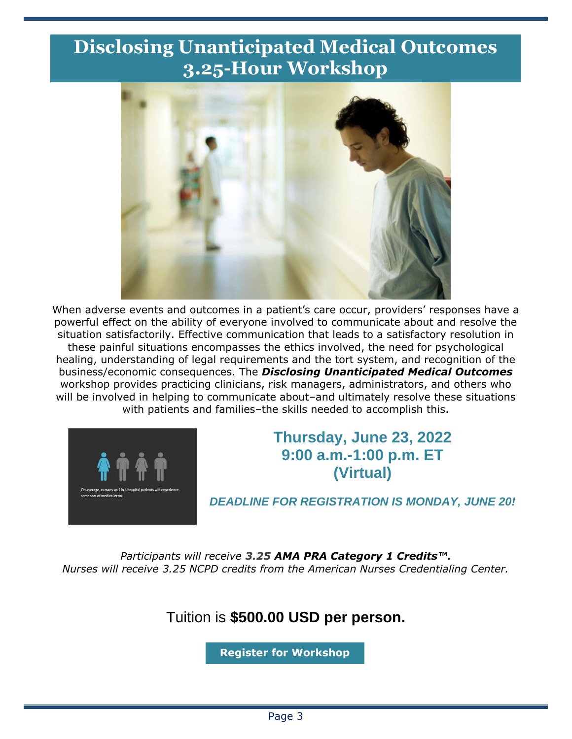### <span id="page-2-0"></span>**Disclosing Unanticipated Medical Outcomes 3.25-Hour Workshop**



When adverse events and outcomes in a patient's care occur, providers' responses have a powerful effect on the ability of everyone involved to communicate about and resolve the situation satisfactorily. Effective communication that leads to a satisfactory resolution in these painful situations encompasses the ethics involved, the need for psychological healing, understanding of legal requirements and the tort system, and recognition of the business/economic consequences. The *Disclosing Unanticipated Medical Outcomes* workshop provides practicing clinicians, risk managers, administrators, and others who will be involved in helping to communicate about–and ultimately resolve these situations with patients and families–the skills needed to accomplish this.



### **Thursday, June 23, 2022 9:00 a.m.-1:00 p.m. ET (Virtual)**

*DEADLINE FOR REGISTRATION IS MONDAY, JUNE 20!*

*Participants will receive 3.25 AMA PRA Category 1 Credits™. Nurses will receive 3.25 NCPD credits from the American Nurses Credentialing Center.*

### Tuition is **\$500.00 USD per person.**

**Register [for Workshop](https://marymbarrett.wufoo.com/forms/w124bn7u009zd39/)**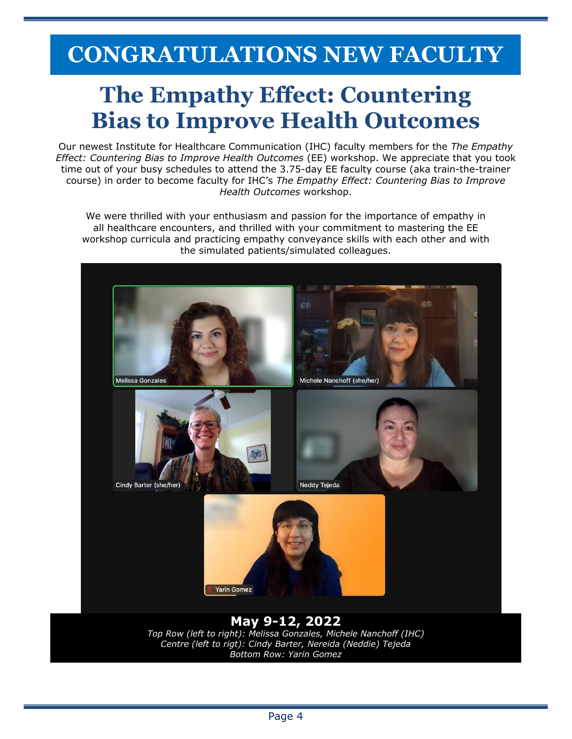## <span id="page-3-0"></span>**CONGRATULATIONS NEW FACULTY**

## **The Empathy Effect: Countering Bias to Improve Health Outcomes**

Our newest Institute for Healthcare Communication (IHC) faculty members for the *The Empathy Effect: Countering Bias to Improve Health Outcomes* (EE) workshop. We appreciate that you took time out of your busy schedules to attend the 3.75-day EE faculty course (aka train-the-trainer course) in order to become faculty for IHC's *The Empathy Effect: Countering Bias to Improve Health Outcomes* workshop.

We were thrilled with your enthusiasm and passion for the importance of empathy in all healthcare encounters, and thrilled with your commitment to mastering the EE workshop curricula and practicing empathy conveyance skills with each other and with the simulated patients/simulated colleagues.



*Bottom Row: Yarin Gomez*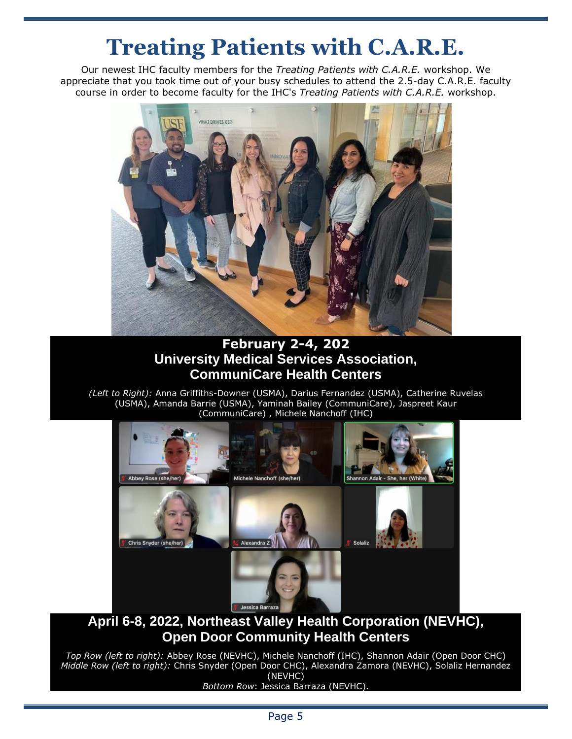## **Treating Patients with C.A.R.E.**

Our newest IHC faculty members for the *Treating Patients with C.A.R.E.* workshop. We appreciate that you took time out of your busy schedules to attend the 2.5-day C.A.R.E. faculty course in order to become faculty for the IHC's *Treating Patients with C.A.R.E.* workshop.



#### **February 2-4, 202 University Medical Services Association, CommuniCare Health Centers**

*(Left to Right):* Anna Griffiths-Downer (USMA), Darius Fernandez (USMA), Catherine Ruvelas (USMA), Amanda Barrie (USMA), Yaminah Bailey (CommuniCare), Jaspreet Kaur (CommuniCare) , Michele Nanchoff (IHC)



#### **April 6-8, 2022, Northeast Valley Health Corporation (NEVHC), Open Door Community Health Centers**

*Top Row (left to right):* Abbey Rose (NEVHC), Michele Nanchoff (IHC), Shannon Adair (Open Door CHC) *Middle Row (left to right):* Chris Snyder (Open Door CHC), Alexandra Zamora (NEVHC), Solaliz Hernandez (NEVHC)

#### *Bottom Row*: Jessica Barraza (NEVHC).